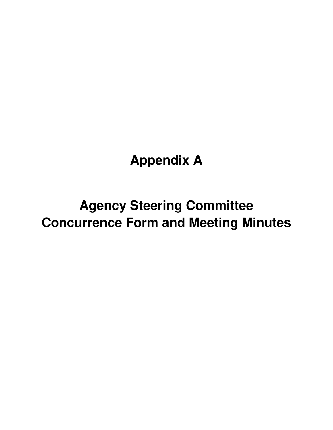# **Appendix A**

# **Agency Steering Committee Concurrence Form and Meeting Minutes**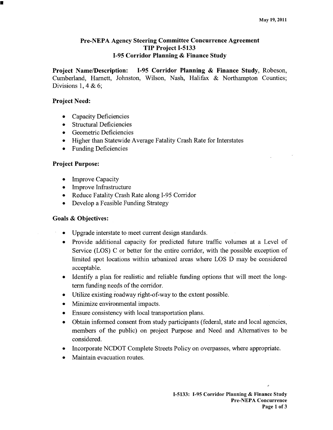## **Pre-NEPA Agency Steering Committee Concurrence Agreement** TIP Project I-5133 I-95 Corridor Planning & Finance Study

**Project Name/Description:** I-95 Corridor Planning & Finance Study, Robeson, Cumberland, Harnett, Johnston, Wilson, Nash, Halifax & Northampton Counties; Divisions 1, 4 & 6;

## **Project Need:**

- Capacity Deficiencies
- **Structural Deficiencies**  $\bullet$
- Geometric Deficiencies
- Higher than Statewide Average Fatality Crash Rate for Interstates
- Funding Deficiencies

## **Project Purpose:**

- **Improve Capacity**
- Improve Infrastructure
- Reduce Fatality Crash Rate along I-95 Corridor
- Develop a Feasible Funding Strategy

## **Goals & Objectives:**

- Upgrade interstate to meet current design standards.
- Provide additional capacity for predicted future traffic volumes at a Level of Service (LOS) C or better for the entire corridor, with the possible exception of limited spot locations within urbanized areas where LOS D may be considered acceptable.
- Identify a plan for realistic and reliable funding options that will meet the longterm funding needs of the corridor.
- Utilize existing roadway right-of-way to the extent possible.
- Minimize environmental impacts.  $\bullet$
- Ensure consistency with local transportation plans.  $\bullet$
- Obtain informed consent from study participants (federal, state and local agencies, members of the public) on project Purpose and Need and Alternatives to be considered.
- Incorporate NCDOT Complete Streets Policy on overpasses, where appropriate.
- Maintain evacuation routes.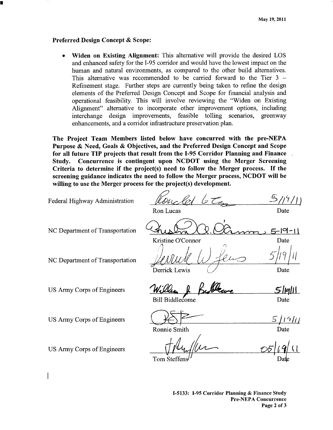## **Preferred Design Concept & Scope:**

Widen on Existing Alignment: This alternative will provide the desired LOS and enhanced safety for the I-95 corridor and would have the lowest impact on the human and natural environments, as compared to the other build alternatives. This alternative was recommended to be carried forward to the Tier  $3 -$ Refinement stage. Further steps are currently being taken to refine the design elements of the Preferred Design Concept and Scope for financial analysis and operational feasibility. This will involve reviewing the "Widen on Existing Alignment" alternative to incorporate other improvement options, including interchange design improvements, feasible tolling scenarios, greenway enhancements, and a corridor infrastructure preservation plan.

The Project Team Members listed below have concurred with the pre-NEPA Purpose & Need, Goals & Objectives, and the Preferred Design Concept and Scope for all future TIP projects that result from the I-95 Corridor Planning and Finance Concurrence is contingent upon NCDOT using the Merger Screening Study. Criteria to determine if the project(s) need to follow the Merger process. If the screening guidance indicates the need to follow the Merger process, NCDOT will be willing to use the Merger process for the project(s) development.

 $5/19/1$ Federal Highway Administration Ron Lucas Date NC Department of Transportation  $5 - 19 - 11$ Kristine O'Connor Date NC Department of Transportation Derrick Lewis Date Sliglil US Army Corps of Engineers Bill Biddlecome Date US Army Corps of Engineers <u>5 [19]/]</u> **Ronnie Smith** Date US Army Corps of Engineers

Tom Steffens

I-5133: I-95 Corridor Planning & Finance Study **Pre-NEPA Concurrence** Page 2 of 3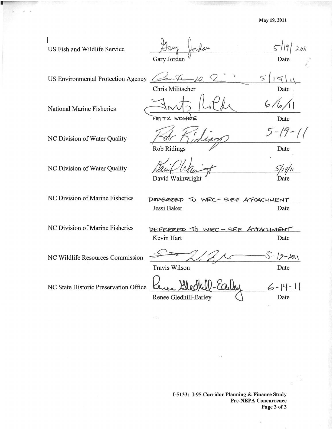| US Fish and Wildlife Service              | Gary Jordan                                   | Date                |
|-------------------------------------------|-----------------------------------------------|---------------------|
| <b>US Environmental Protection Agency</b> | <b>Chris Militscher</b>                       | $\varsigma$<br>Date |
| <b>National Marine Fisheries</b>          | FRITZ ROHDE                                   | 6/<br>Date          |
| NC Division of Water Quality              |                                               | $5 - 19 -$          |
| NC Division of Water Quality              | <b>Rob Ridings</b><br>David Wainwright        | Date<br>Date        |
| NC Division of Marine Fisheries           | DEFERRED TO WRC-SEE ATTACHMENT<br>Jessi Baker | Date                |
| NC Division of Marine Fisheries           | DEFERRED TO WRC-SEE ATTACHMENT<br>Kevin Hart  | Date                |
| NC Wildlife Resources Commission          | <b>Travis Wilson</b>                          | $S-19-201$<br>Date  |
| NC State Historic Preservation Office     | Renee Gledhill-Earley                         | Date                |

B

I-5133: I-95 Corridor Planning & Finance Study<br>Pre-NEPA Concurrence<br>Page 3 of 3

 $\frac{1}{2}$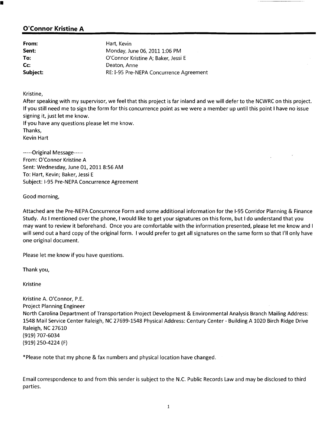# **O'Connor Kristine A**

| From:    | Hart, Kevin                             |
|----------|-----------------------------------------|
| Sent:    | Monday, June 06, 2011 1:06 PM           |
| To:      | O'Connor Kristine A; Baker, Jessi E     |
| Cc       | Deaton, Anne                            |
| Subject: | RE: I-95 Pre-NEPA Concurrence Agreement |

Kristine,

After speaking with my supervisor, we feel that this project is far inland and we will defer to the NCWRC on this project. If you still need me to sign the form for this concurrence point as we were a member up until this point I have no issue signing it, just let me know.

If you have any questions please let me know. Thanks. **Kevin Hart** 

-----Original Message-----From: O'Connor Kristine A Sent: Wednesday, June 01, 2011 8:56 AM To: Hart, Kevin; Baker, Jessi E Subject: I-95 Pre-NEPA Concurrence Agreement

Good morning,

Attached are the Pre-NEPA Concurrence Form and some additional information for the I-95 Corridor Planning & Finance Study. As I mentioned over the phone, I would like to get your signatures on this form, but I do understand that you may want to review it beforehand. Once you are comfortable with the information presented, please let me know and I will send out a hard copy of the original form. I would prefer to get all signatures on the same form so that I'll only have one original document.

Please let me know if you have questions.

Thank you,

**Kristine** 

Kristine A. O'Connor, P.E. **Project Planning Engineer** North Carolina Department of Transportation Project Development & Environmental Analysis Branch Mailing Address: 1548 Mail Service Center Raleigh, NC 27699-1548 Physical Address: Century Center - Building A 1020 Birch Ridge Drive Raleigh, NC 27610 (919) 707-6034  $(919)$  250-4224 (F)

\*Please note that my phone & fax numbers and physical location have changed.

Email correspondence to and from this sender is subject to the N.C. Public Records Law and may be disclosed to third parties.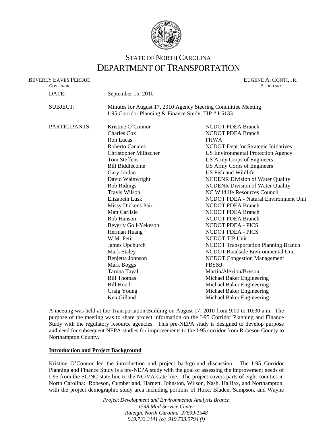

# STATE OF NORTH CAROLINA DEPARTMENT OF TRANSPORTATION

| <b>BEVERLY EAVES PERDUE</b><br><b>GOVERNOR</b> |                                                               | EUGENE A. CONTI, JR.<br><b>SECRETARY</b>                                    |  |
|------------------------------------------------|---------------------------------------------------------------|-----------------------------------------------------------------------------|--|
| DATE:                                          | September 15, 2010                                            |                                                                             |  |
| <b>SUBJECT:</b>                                | Minutes for August 17, 2010 Agency Steering Committee Meeting |                                                                             |  |
|                                                | I-95 Corridor Planning & Finance Study, TIP # I-5133          |                                                                             |  |
| PARTICIPANTS:                                  | Kristine O'Connor                                             | <b>NCDOT PDEA Branch</b>                                                    |  |
|                                                | <b>Charles Cox</b>                                            | <b>NCDOT PDEA Branch</b>                                                    |  |
|                                                | Ron Lucas                                                     | <b>FHWA</b>                                                                 |  |
|                                                | <b>Roberto Canales</b>                                        | NCDOT Dept for Strategic Initiatives                                        |  |
|                                                | Christopher Militscher                                        | <b>US Environmental Protection Agency</b>                                   |  |
|                                                | <b>Tom Steffens</b>                                           | US Army Corps of Engineers                                                  |  |
|                                                | <b>Bill Biddlecome</b>                                        | <b>US Army Corps of Engineers</b>                                           |  |
|                                                | Gary Jordan                                                   | US Fish and Wildlife                                                        |  |
|                                                | David Wainwright                                              | <b>NCDENR</b> Division of Water Quality                                     |  |
|                                                | <b>Rob Ridings</b>                                            | <b>NCDENR</b> Division of Water Quality                                     |  |
|                                                | Travis Wilson                                                 | NC Wildlife Resources Council                                               |  |
|                                                | Elizabeth Lusk                                                | NCDOT PDEA - Natural Environment U                                          |  |
|                                                | <b>Missy Dickens Pair</b>                                     | <b>NCDOT PDEA Branch</b>                                                    |  |
|                                                | <b>Matt Carlisle</b>                                          | <b>NCDOT PDEA Branch</b>                                                    |  |
|                                                | Rob Hanson                                                    | <b>NCDOT PDEA Branch</b>                                                    |  |
|                                                | Beverly Goll-Yekeson                                          | NCDOT PDEA - PICS                                                           |  |
|                                                | Herman Huang                                                  | <b>NCDOT PDEA - PICS</b>                                                    |  |
|                                                | W.M. Petit                                                    | <b>NCDOT TIP Unit</b>                                                       |  |
|                                                | James Upchurch                                                | <b>NCDOT Transportation Planning Branch</b>                                 |  |
|                                                | <b>Mark Staley</b>                                            | <b>NCDOT Roadside Environmental Unit</b>                                    |  |
|                                                | Benjetta Johnson                                              | <b>NCDOT</b> Congestion Management                                          |  |
|                                                | Mark Boggs                                                    | PBS&J                                                                       |  |
|                                                | Taruna Tayal                                                  | Martin/Alexiou/Bryson                                                       |  |
|                                                |                                                               | $M'$ . Let $\mathbf{I} \cap \mathbf{D}$ . Let $\mathbf{E}$ be a function of |  |

NCDOT PDEA Branch **FHWA** NCDOT Dept for Strategic Initiatives US Environmental Protection Agency US Army Corps of Engineers US Army Corps of Engineers US Fish and Wildlife NCDENR Division of Water Quality **NCDENR Division of Water Quality** NC Wildlife Resources Council NCDOT PDEA - Natural Environment Unit NCDOT PDEA Branch NCDOT PDEA Branch **NCDOT PDEA Branch NCDOT PDEA - PICS** NCDOT PDEA - PICS NCDOT TIP Unit NCDOT Transportation Planning Branch NCDOT Roadside Environmental Unit **NCDOT Congestion Management** Martin/Alexiou/Bryson Bill Thomas Michael Baker Engineering Bill Hood Michael Baker Engineering Craig Young Michael Baker Engineering Ken Gilland Michael Baker Engineering

A meeting was held at the Transportation Building on August 17, 2010 from 9:00 to 10:30 a.m. The purpose of the meeting was to share project information on the I-95 Corridor Planning and Finance Study with the regulatory resource agencies. This pre-NEPA study is designed to develop purpose and need for subsequent NEPA studies for improvements to the I-95 corridor from Robeson County to Northampton County.

### **Introduction and Project Background**

Kristine O'Connor led the introduction and project background discussion. The I-95 Corridor Planning and Finance Study is a pre-NEPA study with the goal of assessing the improvement needs of I-95 from the SC/NC state line to the NC/VA state line. The project covers parts of eight counties in North Carolina: Robeson, Cumberland, Harnett, Johnston, Wilson, Nash, Halifax, and Northampton, with the project demographic study area including portions of Hoke, Bladen, Sampson, and Wayne

> *Project Development and Environmental Analysis Branch 1548 Mail Service Center Raleigh, North Carolina 27699-1548 919.733.3141 (o) 919.733.9794 (f)*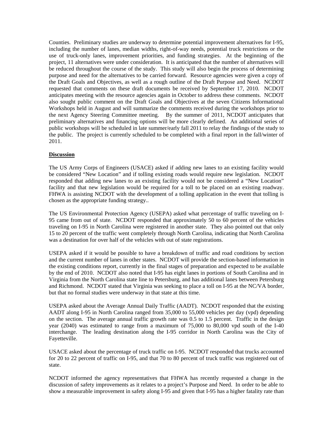Counties. Preliminary studies are underway to determine potential improvement alternatives for I-95, including the number of lanes, median widths, right-of-way needs, potential truck restrictions or the use of truck-only lanes, improvement priorities, and funding strategies. At the beginning of the project, 11 alternatives were under consideration. It is anticipated that the number of alternatives will be reduced throughout the course of the study. This study will also begin the process of determining purpose and need for the alternatives to be carried forward. Resource agencies were given a copy of the Draft Goals and Objectives, as well as a rough outline of the Draft Purpose and Need. NCDOT requested that comments on these draft documents be received by September 17, 2010. NCDOT anticipates meeting with the resource agencies again in October to address these comments. NCDOT also sought public comment on the Draft Goals and Objectives at the seven Citizens Informational Workshops held in August and will summarize the comments received during the workshops prior to the next Agency Steering Committee meeting. By the summer of 2011, NCDOT anticipates that preliminary alternatives and financing options will be more clearly defined. An additional series of public workshops will be scheduled in late summer/early fall 2011 to relay the findings of the study to the public. The project is currently scheduled to be completed with a final report in the fall/winter of 2011.

### **Discussion**

The US Army Corps of Engineers (USACE) asked if adding new lanes to an existing facility would be considered "New Location" and if tolling existing roads would require new legislation. NCDOT responded that adding new lanes to an existing facility would not be considered a "New Location" facility and that new legislation would be required for a toll to be placed on an existing roadway. FHWA is assisting NCDOT with the development of a tolling application in the event that tolling is chosen as the appropriate funding strategy..

The US Environmental Protection Agency (USEPA) asked what percentage of traffic traveling on I-95 came from out of state. NCDOT responded that approximately 50 to 60 percent of the vehicles traveling on I-95 in North Carolina were registered in another state. They also pointed out that only 15 to 20 percent of the traffic went completely through North Carolina, indicating that North Carolina was a destination for over half of the vehicles with out of state registrations.

USEPA asked if it would be possible to have a breakdown of traffic and road conditions by section and the current number of lanes in other states. NCDOT will provide the section-based information in the existing conditions report, currently in the final stages of preparation and expected to be available by the end of 2010. NCDOT also noted that I-95 has eight lanes in portions of South Carolina and in Virginia from the North Carolina state line to Petersburg, and has additional lanes between Petersburg and Richmond. NCDOT stated that Virginia was seeking to place a toll on I-95 at the NC/VA border, but that no formal studies were underway in that state at this time.

USEPA asked about the Average Annual Daily Traffic (AADT). NCDOT responded that the existing AADT along I-95 in North Carolina ranged from 35,000 to 55,000 vehicles per day (vpd) depending on the section. The average annual traffic growth rate was 0.5 to 1.5 percent. Traffic in the design year (2040) was estimated to range from a maximum of 75,000 to 80,000 vpd south of the I-40 interchange. The leading destination along the I-95 corridor in North Carolina was the City of Fayetteville.

USACE asked about the percentage of truck traffic on I-95. NCDOT responded that trucks accounted for 20 to 22 percent of traffic on I-95, and that 70 to 80 percent of truck traffic was registered out of state.

NCDOT informed the agency representatives that FHWA has recently requested a change in the discussion of safety improvements as it relates to a project's Purpose and Need. In order to be able to show a measurable improvement in safety along I-95 and given that I-95 has a higher fatality rate than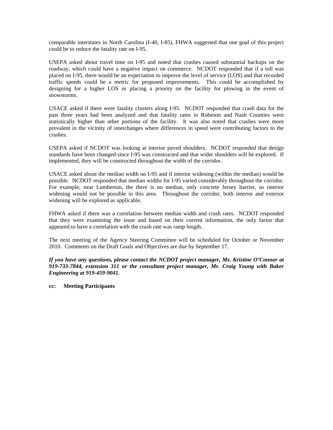comparable interstates in North Carolina (I-40, I-85), FHWA suggested that one goal of this project could be to reduce the fatality rate on I-95.

USEPA asked about travel time on I-95 and noted that crashes caused substantial backups on the roadway, which could have a negative impact on commerce. NCDOT responded that if a toll was placed on I-95, there would be an expectation to improve the level of service (LOS) and that recorded traffic speeds could be a metric for proposed improvements. This could be accomplished by designing for a higher LOS or placing a priority on the facility for plowing in the event of snowstorms.

USACE asked if there were fatality clusters along I-95. NCDOT responded that crash data for the past three years had been analyzed and that fatality rates in Robeson and Nash Counties were statistically higher than other portions of the facility. It was also noted that crashes were more prevalent in the vicinity of interchanges where differences in speed were contributing factors to the crashes.

USEPA asked if NCDOT was looking at interior paved shoulders. NCDOT responded that design standards have been changed since I-95 was constructed and that wider shoulders will be explored. If implemented, they will be constructed throughout the width of the corridor.

USACE asked about the median width on I-95 and if interior widening (within the median) would be possible. NCDOT responded that median widths for I-95 varied considerably throughout the corridor. For example, near Lumberton, the there is no median, only concrete Jersey barrier, so interior widening would not be possible in this area. Throughout the corridor, both interior and exterior widening will be explored as applicable.

FHWA asked if there was a correlation between median width and crash rates. NCDOT responded that they were examining the issue and based on their current information, the only factor that appeared to have a correlation with the crash rate was ramp length.

The next meeting of the Agency Steering Committee will be scheduled for October or November 2010. Comments on the Draft Goals and Objectives are due by September 17.

*If you have any questions, please contact the NCDOT project manager, Ms. Kristine O'Connor at 919-733-7844, extension 311 or the consultant project manager, Mr. Craig Young with Baker Engineering at 919-459-9041.* 

**cc: Meeting Participants**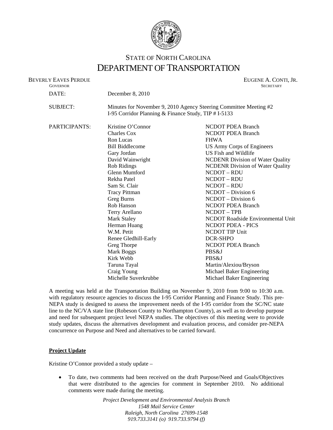

# STATE OF NORTH CAROLINA DEPARTMENT OF TRANSPORTATION

| <b>BEVERLY EAVES PERDUE</b><br><b>GOVERNOR</b> |                                                                                                                           | EUGENE A. CONTI, JR.<br><b>SECRETARY</b> |  |
|------------------------------------------------|---------------------------------------------------------------------------------------------------------------------------|------------------------------------------|--|
| DATE:                                          | December 8, 2010                                                                                                          |                                          |  |
| <b>SUBJECT:</b>                                | Minutes for November 9, 2010 Agency Steering Committee Meeting #2<br>I-95 Corridor Planning & Finance Study, TIP # I-5133 |                                          |  |
| PARTICIPANTS:                                  | Kristine O'Connor                                                                                                         | <b>NCDOT PDEA Branch</b>                 |  |
|                                                | <b>Charles Cox</b>                                                                                                        | <b>NCDOT PDEA Branch</b>                 |  |
|                                                | Ron Lucas                                                                                                                 | <b>FHWA</b>                              |  |
|                                                | <b>Bill Biddlecome</b>                                                                                                    | US Army Corps of Engineers               |  |
|                                                | Gary Jordan                                                                                                               | US Fish and Wildlife                     |  |
|                                                | David Wainwright                                                                                                          | <b>NCDENR Division of Water Quality</b>  |  |
|                                                | Rob Ridings                                                                                                               | <b>NCDENR Division of Water Quality</b>  |  |
|                                                | Glenn Mumford                                                                                                             | NCDOT - RDU                              |  |
|                                                | Rekha Patel                                                                                                               | NCDOT-RDU                                |  |
|                                                | Sam St. Clair                                                                                                             | NCDOT-RDU                                |  |
|                                                | <b>Tracy Pittman</b>                                                                                                      | NCDOT – Division 6                       |  |
|                                                | Greg Burns                                                                                                                | NCDOT - Division 6                       |  |
|                                                | Rob Hanson                                                                                                                | <b>NCDOT PDEA Branch</b>                 |  |
|                                                | Terry Arellano                                                                                                            | NCDOT-TPB                                |  |
|                                                | <b>Mark Staley</b>                                                                                                        | NCDOT Roadside Environmental Unit        |  |
|                                                | Herman Huang                                                                                                              | <b>NCDOT PDEA - PICS</b>                 |  |
|                                                | W.M. Petit                                                                                                                | <b>NCDOT TIP Unit</b>                    |  |
|                                                | Renee Gledhill-Early                                                                                                      | DCR-SHPO                                 |  |
|                                                | Greg Thorpe                                                                                                               | <b>NCDOT PDEA Branch</b>                 |  |
|                                                | Mark Boggs                                                                                                                | PBS&J                                    |  |
|                                                | Kirk Webb                                                                                                                 | PBS&J                                    |  |
|                                                | Taruna Tayal                                                                                                              | Martin/Alexiou/Bryson                    |  |
|                                                | Craig Young                                                                                                               | Michael Baker Engineering                |  |
|                                                | Michelle Suverkrubbe                                                                                                      | Michael Baker Engineering                |  |

A meeting was held at the Transportation Building on November 9, 2010 from 9:00 to 10:30 a.m. with regulatory resource agencies to discuss the I-95 Corridor Planning and Finance Study. This pre-NEPA study is designed to assess the improvement needs of the I-95 corridor from the SC/NC state line to the NC/VA state line (Robeson County to Northampton County), as well as to develop purpose and need for subsequent project level NEPA studies. The objectives of this meeting were to provide study updates, discuss the alternatives development and evaluation process, and consider pre-NEPA concurrence on Purpose and Need and alternatives to be carried forward.

### **Project Update**

Kristine O'Connor provided a study update –

 To date, two comments had been received on the draft Purpose/Need and Goals/Objectives that were distributed to the agencies for comment in September 2010. No additional comments were made during the meeting.

> *Project Development and Environmental Analysis Branch 1548 Mail Service Center Raleigh, North Carolina 27699-1548 919.733.3141 (o) 919.733.9794 (f)*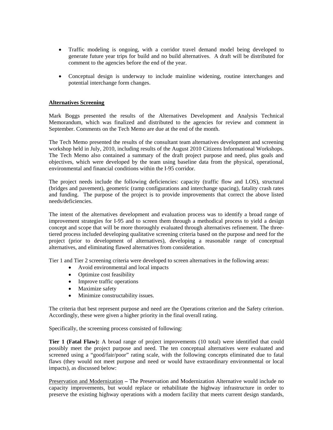- Traffic modeling is ongoing, with a corridor travel demand model being developed to generate future year trips for build and no build alternatives. A draft will be distributed for comment to the agencies before the end of the year.
- Conceptual design is underway to include mainline widening, routine interchanges and potential interchange form changes.

### **Alternatives Screening**

Mark Boggs presented the results of the Alternatives Development and Analysis Technical Memorandum, which was finalized and distributed to the agencies for review and comment in September. Comments on the Tech Memo are due at the end of the month.

The Tech Memo presented the results of the consultant team alternatives development and screening workshop held in July, 2010, including results of the August 2010 Citizens Informational Workshops. The Tech Memo also contained a summary of the draft project purpose and need, plus goals and objectives, which were developed by the team using baseline data from the physical, operational, environmental and financial conditions within the I-95 corridor.

The project needs include the following deficiencies: capacity (traffic flow and LOS), structural (bridges and pavement), geometric (ramp configurations and interchange spacing), fatality crash rates and funding. The purpose of the project is to provide improvements that correct the above listed needs/deficiencies.

The intent of the alternatives development and evaluation process was to identify a broad range of improvement strategies for I-95 and to screen them through a methodical process to yield a design concept and scope that will be more thoroughly evaluated through alternatives refinement. The threetiered process included developing qualitative screening criteria based on the purpose and need for the project (prior to development of alternatives), developing a reasonable range of conceptual alternatives, and eliminating flawed alternatives from consideration.

Tier 1 and Tier 2 screening criteria were developed to screen alternatives in the following areas:

- Avoid environmental and local impacts
- Optimize cost feasibility
- Improve traffic operations
- Maximize safety
- Minimize constructability issues.

The criteria that best represent purpose and need are the Operations criterion and the Safety criterion. Accordingly, these were given a higher priority in the final overall rating.

Specifically, the screening process consisted of following:

**Tier 1 (Fatal Flaw):** A broad range of project improvements (10 total) were identified that could possibly meet the project purpose and need. The ten conceptual alternatives were evaluated and screened using a "good/fair/poor" rating scale, with the following concepts eliminated due to fatal flaws (they would not meet purpose and need or would have extraordinary environmental or local impacts), as discussed below:

Preservation and Modernization **–** The Preservation and Modernization Alternative would include no capacity improvements, but would replace or rehabilitate the highway infrastructure in order to preserve the existing highway operations with a modern facility that meets current design standards,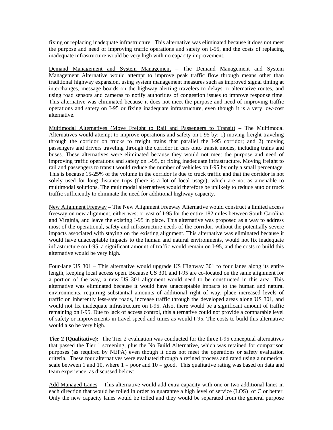fixing or replacing inadequate infrastructure. This alternative was eliminated because it does not meet the purpose and need of improving traffic operations and safety on I-95, and the costs of replacing inadequate infrastructure would be very high with no capacity improvement.

Demand Management and System Management – The Demand Management and System Management Alternative would attempt to improve peak traffic flow through means other than traditional highway expansion, using system management measures such as improved signal timing at interchanges, message boards on the highway alerting travelers to delays or alternative routes, and using road sensors and cameras to notify authorities of congestion issues to improve response time. This alternative was eliminated because it does not meet the purpose and need of improving traffic operations and safety on I-95 or fixing inadequate infrastructure, even though it is a very low-cost alternative.

Multimodal Alternatives (Move Freight to Rail and Passengers to Transit) – The Multimodal Alternatives would attempt to improve operations and safety on I-95 by: 1) moving freight traveling through the corridor on trucks to freight trains that parallel the I-95 corridor; and 2) moving passengers and drivers traveling through the corridor in cars onto transit modes, including trains and buses. These alternatives were eliminated because they would not meet the purpose and need of improving traffic operations and safety on I-95, or fixing inadequate infrastructure. Moving freight to rail and passengers to transit would reduce the number of vehicles on I-95 by only a small percentage. This is because 15-25% of the volume in the corridor is due to truck traffic and that the corridor is not solely used for long distance trips (there is a lot of local usage), which are not as amenable to multimodal solutions. The multimodal alternatives would therefore be unlikely to reduce auto or truck traffic sufficiently to eliminate the need for additional highway capacity.

New Alignment Freeway – The New Alignment Freeway Alternative would construct a limited access freeway on new alignment, either west or east of I-95 for the entire 182 miles between South Carolina and Virginia, and leave the existing I-95 in place. This alternative was proposed as a way to address most of the operational, safety and infrastructure needs of the corridor, without the potentially severe impacts associated with staying on the existing alignment. This alternative was eliminated because it would have unacceptable impacts to the human and natural environments, would not fix inadequate infrastructure on I-95, a significant amount of traffic would remain on I-95, and the costs to build this alternative would be very high.

Four-lane US 301 – This alternative would upgrade US Highway 301 to four lanes along its entire length, keeping local access open. Because US 301 and I-95 are co-located on the same alignment for a portion of the way, a new US 301 alignment would need to be constructed in this area. This alternative was eliminated because it would have unacceptable impacts to the human and natural environments, requiring substantial amounts of additional right of way, place increased levels of traffic on inherently less-safe roads, increase traffic through the developed areas along US 301, and would not fix inadequate infrastructure on I-95. Also, there would be a significant amount of traffic remaining on I-95. Due to lack of access control, this alternative could not provide a comparable level of safety or improvements in travel speed and times as would I-95. The costs to build this alternative would also be very high.

**Tier 2 (Qualitative):** The Tier 2 evaluation was conducted for the three I-95 conceptual alternatives that passed the Tier 1 screening, plus the No Build Alternative, which was retained for comparison purposes (as required by NEPA) even though it does not meet the operations or safety evaluation criteria. These four alternatives were evaluated through a refined process and rated using a numerical scale between 1 and 10, where  $1 =$  poor and  $10 =$  good. This qualitative rating was based on data and team experience, as discussed below:

Add Managed Lanes - This alternative would add extra capacity with one or two additional lanes in each direction that would be tolled in order to guarantee a high level of service (LOS) of C or better. Only the new capacity lanes would be tolled and they would be separated from the general purpose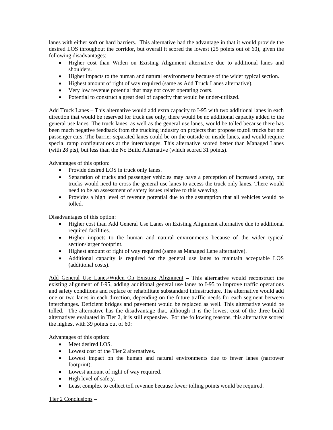lanes with either soft or hard barriers. This alternative had the advantage in that it would provide the desired LOS throughout the corridor, but overall it scored the lowest (25 points out of 60), given the following disadvantages:

- Higher cost than Widen on Existing Alignment alternative due to additional lanes and shoulders.
- Higher impacts to the human and natural environments because of the wider typical section.
- Highest amount of right of way required (same as Add Truck Lanes alternative).
- Very low revenue potential that may not cover operating costs.
- Potential to construct a great deal of capacity that would be under-utilized.

Add Truck Lanes – This alternative would add extra capacity to I-95 with two additional lanes in each direction that would be reserved for truck use only; there would be no additional capacity added to the general use lanes. The truck lanes, as well as the general use lanes, would be tolled because there has been much negative feedback from the trucking industry on projects that propose to,toll trucks but not passenger cars. The barrier-separated lanes could be on the outside or inside lanes, and would require special ramp configurations at the interchanges. This alternative scored better than Managed Lanes (with 28 pts), but less than the No Build Alternative (which scored 31 points).

Advantages of this option:

- Provide desired LOS in truck only lanes.
- Separation of trucks and passenger vehicles may have a perception of increased safety, but trucks would need to cross the general use lanes to access the truck only lanes. There would need to be an assessment of safety issues relative to this weaving.
- Provides a high level of revenue potential due to the assumption that all vehicles would be tolled.

Disadvantages of this option:

- Higher cost than Add General Use Lanes on Existing Alignment alternative due to additional required facilities.
- Higher impacts to the human and natural environments because of the wider typical section/larger footprint.
- Highest amount of right of way required (same as Managed Lane alternative).
- Additional capacity is required for the general use lanes to maintain acceptable LOS (additional costs).

Add General Use Lanes/Widen On Existing Alignment – This alternative would reconstruct the existing alignment of I-95, adding additional general use lanes to I-95 to improve traffic operations and safety conditions and replace or rehabilitate substandard infrastructure. The alternative would add one or two lanes in each direction, depending on the future traffic needs for each segment between interchanges. Deficient bridges and pavement would be replaced as well. This alternative would be tolled. The alternative has the disadvantage that, although it is the lowest cost of the three build alternatives evaluated in Tier 2, it is still expensive. For the following reasons, this alternative scored the highest with 39 points out of 60:

Advantages of this option:

- Meet desired LOS.
- Lowest cost of the Tier 2 alternatives.
- Lowest impact on the human and natural environments due to fewer lanes (narrower footprint).
- Lowest amount of right of way required.
- High level of safety.
- Least complex to collect toll revenue because fewer tolling points would be required.

Tier 2 Conclusions –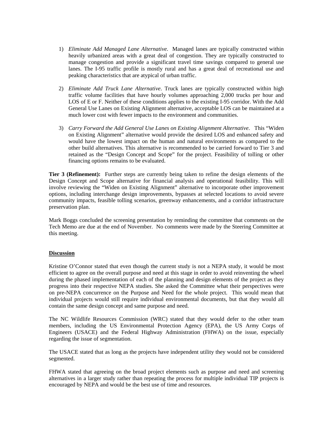- 1) *Eliminate Add Managed Lane Alternative*. Managed lanes are typically constructed within heavily urbanized areas with a great deal of congestion. They are typically constructed to manage congestion and provide a significant travel time savings compared to general use lanes. The I-95 traffic profile is mostly rural and has a great deal of recreational use and peaking characteristics that are atypical of urban traffic.
- 2) *Eliminate Add Truck Lane Alternative*. Truck lanes are typically constructed within high traffic volume facilities that have hourly volumes approaching 2,000 trucks per hour and LOS of E or F. Neither of these conditions applies to the existing I-95 corridor. With the Add General Use Lanes on Existing Alignment alternative, acceptable LOS can be maintained at a much lower cost with fewer impacts to the environment and communities.
- 3) *Carry Forward the Add General Use Lanes on Existing Alignment Alternative*. This "Widen on Existing Alignment" alternative would provide the desired LOS and enhanced safety and would have the lowest impact on the human and natural environments as compared to the other build alternatives. This alternative is recommended to be carried forward to Tier 3 and retained as the "Design Concept and Scope" for the project. Feasibility of tolling or other financing options remains to be evaluated.

**Tier 3 (Refinement):** Further steps are currently being taken to refine the design elements of the Design Concept and Scope alternative for financial analysis and operational feasibility. This will involve reviewing the "Widen on Existing Alignment" alternative to incorporate other improvement options, including interchange design improvements, bypasses at selected locations to avoid severe community impacts, feasible tolling scenarios, greenway enhancements, and a corridor infrastructure preservation plan.

Mark Boggs concluded the screening presentation by reminding the committee that comments on the Tech Memo are due at the end of November. No comments were made by the Steering Committee at this meeting.

## **Discussion**

Kristine O'Connor stated that even though the current study is not a NEPA study, it would be most efficient to agree on the overall purpose and need at this stage in order to avoid reinventing the wheel during the phased implementation of each of the planning and design elements of the project as they progress into their respective NEPA studies. She asked the Committee what their perspectives were on pre-NEPA concurrence on the Purpose and Need for the whole project. This would mean that individual projects would still require individual environmental documents, but that they would all contain the same design concept and same purpose and need.

The NC Wildlife Resources Commission (WRC) stated that they would defer to the other team members, including the US Environmental Protection Agency (EPA), the US Army Corps of Engineers (USACE) and the Federal Highway Administration (FHWA) on the issue, especially regarding the issue of segmentation.

The USACE stated that as long as the projects have independent utility they would not be considered segmented.

FHWA stated that agreeing on the broad project elements such as purpose and need and screening alternatives in a larger study rather than repeating the process for multiple individual TIP projects is encouraged by NEPA and would be the best use of time and resources.